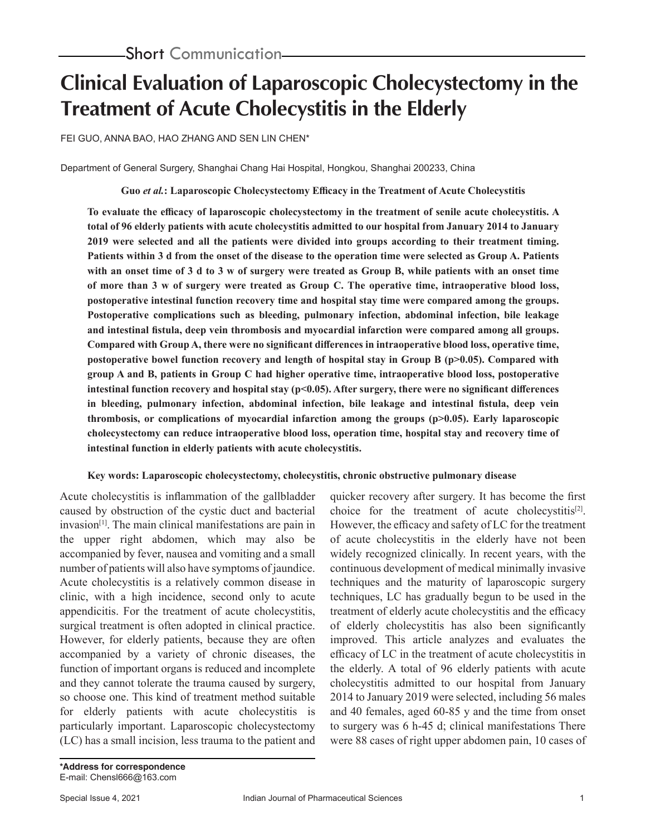# **Clinical Evaluation of Laparoscopic Cholecystectomy in the Treatment of Acute Cholecystitis in the Elderly**

FEI GUO, ANNA BAO, HAO ZHANG AND SEN LIN CHEN\*

Department of General Surgery, Shanghai Chang Hai Hospital, Hongkou, Shanghai 200233, China

**Guo** *et al.***: Laparoscopic Cholecystectomy Efficacy in the Treatment of Acute Cholecystitis**

**To evaluate the efficacy of laparoscopic cholecystectomy in the treatment of senile acute cholecystitis. A total of 96 elderly patients with acute cholecystitis admitted to our hospital from January 2014 to January 2019 were selected and all the patients were divided into groups according to their treatment timing. Patients within 3 d from the onset of the disease to the operation time were selected as Group A. Patients with an onset time of 3 d to 3 w of surgery were treated as Group B, while patients with an onset time of more than 3 w of surgery were treated as Group C. The operative time, intraoperative blood loss, postoperative intestinal function recovery time and hospital stay time were compared among the groups. Postoperative complications such as bleeding, pulmonary infection, abdominal infection, bile leakage and intestinal fistula, deep vein thrombosis and myocardial infarction were compared among all groups. Compared with Group A, there were no significant differences in intraoperative blood loss, operative time, postoperative bowel function recovery and length of hospital stay in Group B (p>0.05). Compared with group A and B, patients in Group C had higher operative time, intraoperative blood loss, postoperative intestinal function recovery and hospital stay (p<0.05). After surgery, there were no significant differences in bleeding, pulmonary infection, abdominal infection, bile leakage and intestinal fistula, deep vein thrombosis, or complications of myocardial infarction among the groups (p>0.05). Early laparoscopic cholecystectomy can reduce intraoperative blood loss, operation time, hospital stay and recovery time of intestinal function in elderly patients with acute cholecystitis.**

#### **Key words: Laparoscopic cholecystectomy, cholecystitis, chronic obstructive pulmonary disease**

Acute cholecystitis is inflammation of the gallbladder caused by obstruction of the cystic duct and bacterial  $invasion<sup>[1]</sup>$ . The main clinical manifestations are pain in the upper right abdomen, which may also be accompanied by fever, nausea and vomiting and a small number of patients will also have symptoms of jaundice. Acute cholecystitis is a relatively common disease in clinic, with a high incidence, second only to acute appendicitis. For the treatment of acute cholecystitis, surgical treatment is often adopted in clinical practice. However, for elderly patients, because they are often accompanied by a variety of chronic diseases, the function of important organs is reduced and incomplete and they cannot tolerate the trauma caused by surgery, so choose one. This kind of treatment method suitable for elderly patients with acute cholecystitis is particularly important. Laparoscopic cholecystectomy (LC) has a small incision, less trauma to the patient and

quicker recovery after surgery. It has become the first choice for the treatment of acute cholecystitis<sup>[2]</sup>. However, the efficacy and safety of LC for the treatment of acute cholecystitis in the elderly have not been widely recognized clinically. In recent years, with the continuous development of medical minimally invasive techniques and the maturity of laparoscopic surgery techniques, LC has gradually begun to be used in the treatment of elderly acute cholecystitis and the efficacy of elderly cholecystitis has also been significantly improved. This article analyzes and evaluates the efficacy of LC in the treatment of acute cholecystitis in the elderly. A total of 96 elderly patients with acute cholecystitis admitted to our hospital from January 2014 to January 2019 were selected, including 56 males and 40 females, aged 60-85 y and the time from onset to surgery was 6 h-45 d; clinical manifestations There were 88 cases of right upper abdomen pain, 10 cases of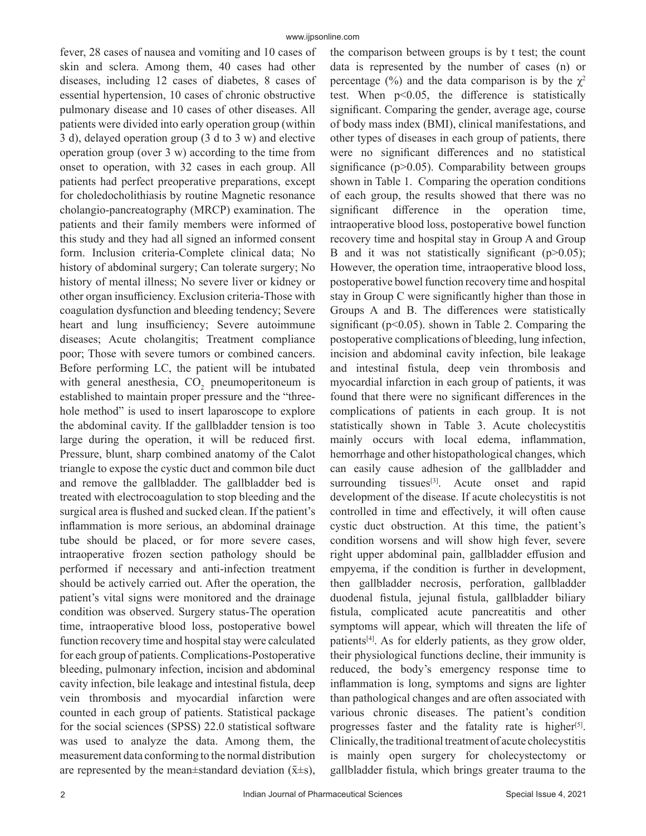fever, 28 cases of nausea and vomiting and 10 cases of skin and sclera. Among them, 40 cases had other diseases, including 12 cases of diabetes, 8 cases of essential hypertension, 10 cases of chronic obstructive pulmonary disease and 10 cases of other diseases. All patients were divided into early operation group (within 3 d), delayed operation group (3 d to 3 w) and elective operation group (over 3 w) according to the time from onset to operation, with 32 cases in each group. All patients had perfect preoperative preparations, except for choledocholithiasis by routine Magnetic resonance cholangio-pancreatography (MRCP) examination. The patients and their family members were informed of this study and they had all signed an informed consent form. Inclusion criteria-Complete clinical data; No history of abdominal surgery; Can tolerate surgery; No history of mental illness; No severe liver or kidney or other organ insufficiency. Exclusion criteria-Those with coagulation dysfunction and bleeding tendency; Severe heart and lung insufficiency; Severe autoimmune diseases; Acute cholangitis; Treatment compliance poor; Those with severe tumors or combined cancers. Before performing LC, the patient will be intubated with general anesthesia,  $CO_2$  pneumoperitoneum is established to maintain proper pressure and the "threehole method" is used to insert laparoscope to explore the abdominal cavity. If the gallbladder tension is too large during the operation, it will be reduced first. Pressure, blunt, sharp combined anatomy of the Calot triangle to expose the cystic duct and common bile duct and remove the gallbladder. The gallbladder bed is treated with electrocoagulation to stop bleeding and the surgical area is flushed and sucked clean. If the patient's inflammation is more serious, an abdominal drainage tube should be placed, or for more severe cases, intraoperative frozen section pathology should be performed if necessary and anti-infection treatment should be actively carried out. After the operation, the patient's vital signs were monitored and the drainage condition was observed. Surgery status-The operation time, intraoperative blood loss, postoperative bowel function recovery time and hospital stay were calculated for each group of patients. Complications-Postoperative bleeding, pulmonary infection, incision and abdominal cavity infection, bile leakage and intestinal fistula, deep vein thrombosis and myocardial infarction were counted in each group of patients. Statistical package for the social sciences (SPSS) 22.0 statistical software was used to analyze the data. Among them, the measurement data conforming to the normal distribution are represented by the mean $\pm$ standard deviation ( $\bar{x} \pm s$ ),

the comparison between groups is by t test; the count data is represented by the number of cases (n) or percentage (%) and the data comparison is by the  $\chi^2$ test. When  $p<0.05$ , the difference is statistically significant. Comparing the gender, average age, course of body mass index (BMI), clinical manifestations, and other types of diseases in each group of patients, there were no significant differences and no statistical significance  $(p>0.05)$ . Comparability between groups shown in Table 1. Comparing the operation conditions of each group, the results showed that there was no significant difference in the operation time, intraoperative blood loss, postoperative bowel function recovery time and hospital stay in Group A and Group B and it was not statistically significant  $(p>0.05)$ ; However, the operation time, intraoperative blood loss, postoperative bowel function recovery time and hospital stay in Group C were significantly higher than those in Groups A and B. The differences were statistically significant ( $p<0.05$ ). shown in Table 2. Comparing the postoperative complications of bleeding, lung infection, incision and abdominal cavity infection, bile leakage and intestinal fistula, deep vein thrombosis and myocardial infarction in each group of patients, it was found that there were no significant differences in the complications of patients in each group. It is not statistically shown in Table 3. Acute cholecystitis mainly occurs with local edema, inflammation, hemorrhage and other histopathological changes, which can easily cause adhesion of the gallbladder and surrounding tissues<sup>[3]</sup>. Acute onset and rapid development of the disease. If acute cholecystitis is not controlled in time and effectively, it will often cause cystic duct obstruction. At this time, the patient's condition worsens and will show high fever, severe right upper abdominal pain, gallbladder effusion and empyema, if the condition is further in development, then gallbladder necrosis, perforation, gallbladder duodenal fistula, jejunal fistula, gallbladder biliary fistula, complicated acute pancreatitis and other symptoms will appear, which will threaten the life of patients<sup>[4]</sup>. As for elderly patients, as they grow older, their physiological functions decline, their immunity is reduced, the body's emergency response time to inflammation is long, symptoms and signs are lighter than pathological changes and are often associated with various chronic diseases. The patient's condition progresses faster and the fatality rate is higher<sup>[5]</sup>. Clinically, the traditional treatment of acute cholecystitis is mainly open surgery for cholecystectomy or gallbladder fistula, which brings greater trauma to the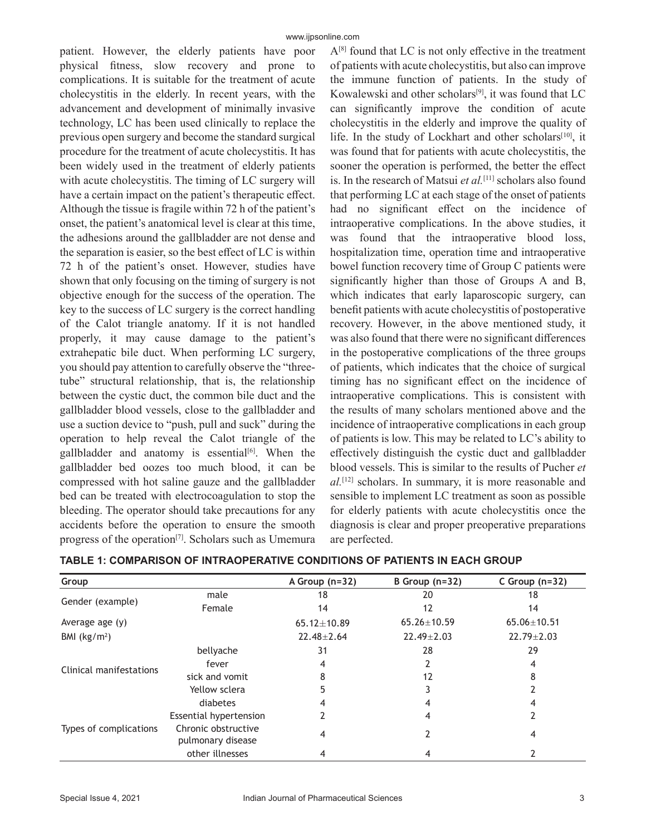patient. However, the elderly patients have poor physical fitness, slow recovery and prone to complications. It is suitable for the treatment of acute cholecystitis in the elderly. In recent years, with the advancement and development of minimally invasive technology, LC has been used clinically to replace the previous open surgery and become the standard surgical procedure for the treatment of acute cholecystitis. It has been widely used in the treatment of elderly patients with acute cholecystitis. The timing of LC surgery will have a certain impact on the patient's therapeutic effect. Although the tissue is fragile within 72 h of the patient's onset, the patient's anatomical level is clear at this time, the adhesions around the gallbladder are not dense and the separation is easier, so the best effect of LC is within 72 h of the patient's onset. However, studies have shown that only focusing on the timing of surgery is not objective enough for the success of the operation. The key to the success of LC surgery is the correct handling of the Calot triangle anatomy. If it is not handled properly, it may cause damage to the patient's extrahepatic bile duct. When performing LC surgery, you should pay attention to carefully observe the "threetube" structural relationship, that is, the relationship between the cystic duct, the common bile duct and the gallbladder blood vessels, close to the gallbladder and use a suction device to "push, pull and suck" during the operation to help reveal the Calot triangle of the gallbladder and anatomy is essential<sup>[6]</sup>. When the gallbladder bed oozes too much blood, it can be compressed with hot saline gauze and the gallbladder bed can be treated with electrocoagulation to stop the bleeding. The operator should take precautions for any accidents before the operation to ensure the smooth progress of the operation<sup>[7]</sup>. Scholars such as Umemura  $A^{[8]}$  found that LC is not only effective in the treatment of patients with acute cholecystitis, but also can improve the immune function of patients. In the study of Kowalewski and other scholars[9], it was found that LC can significantly improve the condition of acute cholecystitis in the elderly and improve the quality of life. In the study of Lockhart and other scholars<sup>[10]</sup>, it was found that for patients with acute cholecystitis, the sooner the operation is performed, the better the effect is. In the research of Matsui et al.<sup>[11]</sup> scholars also found that performing LC at each stage of the onset of patients had no significant effect on the incidence of intraoperative complications. In the above studies, it was found that the intraoperative blood loss, hospitalization time, operation time and intraoperative bowel function recovery time of Group C patients were significantly higher than those of Groups A and B, which indicates that early laparoscopic surgery, can benefit patients with acute cholecystitis of postoperative recovery. However, in the above mentioned study, it was also found that there were no significant differences in the postoperative complications of the three groups of patients, which indicates that the choice of surgical timing has no significant effect on the incidence of intraoperative complications. This is consistent with the results of many scholars mentioned above and the incidence of intraoperative complications in each group of patients is low. This may be related to LC's ability to effectively distinguish the cystic duct and gallbladder blood vessels. This is similar to the results of Pucher *et al.*[12] scholars. In summary, it is more reasonable and sensible to implement LC treatment as soon as possible for elderly patients with acute cholecystitis once the diagnosis is clear and proper preoperative preparations are perfected.

| Group                   |                                          | A Group $(n=32)$  | B Group $(n=32)$  | C Group $(n=32)$  |
|-------------------------|------------------------------------------|-------------------|-------------------|-------------------|
| Gender (example)        | male                                     | 18                | 20                | 18                |
|                         | Female                                   | 14                | 12                | 14                |
| Average age (y)         |                                          | $65.12 \pm 10.89$ | $65.26 \pm 10.59$ | $65.06 \pm 10.51$ |
| BMI $(kg/m2)$           |                                          | $22.48 \pm 2.64$  | $22.49 \pm 2.03$  | $22.79 \pm 2.03$  |
| Clinical manifestations | bellyache                                | 31                | 28                | 29                |
|                         | fever                                    | 4                 |                   | 4                 |
|                         | sick and vomit                           |                   | 12                |                   |
|                         | Yellow sclera                            | 5                 |                   |                   |
| Types of complications  | diabetes                                 |                   |                   |                   |
|                         | Essential hypertension                   |                   | 4                 |                   |
|                         | Chronic obstructive<br>pulmonary disease | 4                 |                   | 4                 |
|                         | other illnesses                          | 4                 | 4                 |                   |